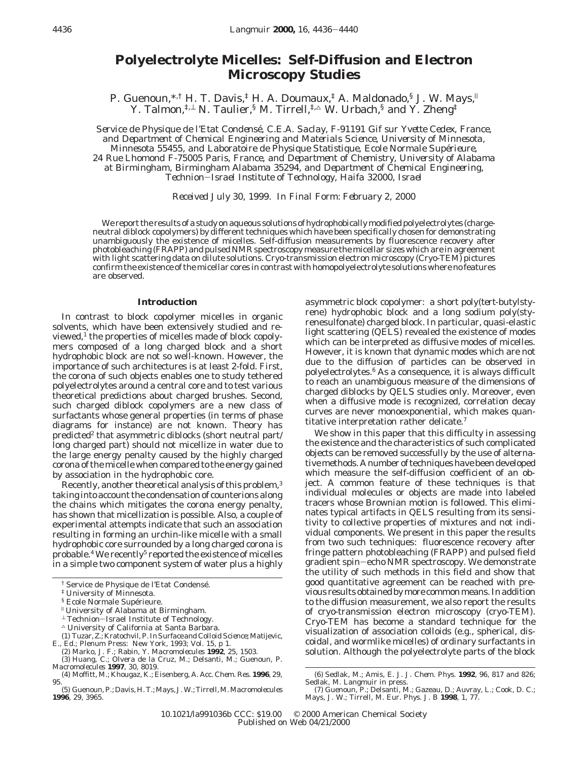# **Polyelectrolyte Micelles: Self-Diffusion and Electron Microscopy Studies**

P. Guenoun,  $*$ , † H. T. Davis, † H. A. Doumaux, † A. Maldonado, § J. W. Mays,  $\parallel$ Y. Talmon,<sup>‡,⊥</sup> N. Taulier,<sup>§</sup> M. Tirrell,<sup>‡,△</sup> W. Urbach,<sup>§</sup> and Y. Zheng<sup>‡</sup>

*Service de Physique de l'Etat Condense*´*, C.E.A. Saclay, F-91191 Gif sur Yvette Cedex, France, and Department of Chemical Engineering and Materials Science, University of Minnesota, Minnesota 55455, and Laboratoire de Physique Statistique, Ecole Normale Supérieure, 24 Rue Lhomond F-75005 Paris, France, and Department of Chemistry, University of Alabama at Birmingham, Birmingham Alabama 35294, and Department of Chemical Engineering, Technion*-*Israel Institute of Technology, Haifa 32000, Israel*

*Received July 30, 1999. In Final Form: February 2, 2000*

We report the results of a study on aqueous solutions of hydrophobically modified polyelectrolytes (chargeneutral diblock copolymers) by different techniques which have been specifically chosen for demonstrating unambiguously the existence of micelles. Self-diffusion measurements by fluorescence recovery after photobleaching (FRAPP) and pulsed NMR spectroscopy measure the micellar sizes which are in agreement with light scattering data on dilute solutions. Cryo-transmission electron microscopy (Cryo-TEM) pictures confirm the existence of the micellar cores in contrast with homopolyelectrolyte solutions where no features are observed.

## **Introduction**

In contrast to block copolymer micelles in organic solvents, which have been extensively studied and reviewed,<sup>1</sup> the properties of micelles made of block copolymers composed of a long charged block and a short hydrophobic block are not so well-known. However, the importance of such architectures is at least 2-fold. First, the corona of such objects enables one to study tethered polyelectrolytes around a central core and to test various theoretical predictions about charged brushes. Second, such charged diblock copolymers are a new class of surfactants whose general properties (in terms of phase diagrams for instance) are not known. Theory has predicted<sup>2</sup> that asymmetric diblocks (short neutral part/ long charged part) should not micellize in water due to the large energy penalty caused by the highly charged corona of the micelle when compared to the energy gained by association in the hydrophobic core.

Recently, another theoretical analysis of this problem,<sup>3</sup> taking into account the condensation of counterions along the chains which mitigates the corona energy penalty, has shown that micellization is possible. Also, a couple of experimental attempts indicate that such an association resulting in forming an urchin-like micelle with a small hydrophobic core surrounded by a long charged corona is probable.<sup>4</sup> We recently<sup>5</sup> reported the existence of micelles in a simple two component system of water plus a highly

asymmetric block copolymer: a short poly(*tert*-butylstyrene) hydrophobic block and a long sodium poly(styrenesulfonate) charged block. In particular, quasi-elastic light scattering (QELS) revealed the existence of modes which can be interpreted as diffusive modes of micelles. However, it is known that dynamic modes which are not due to the diffusion of particles can be observed in polyelectrolytes.6 As a consequence, it is always difficult to reach an unambiguous measure of the dimensions of charged diblocks by QELS studies only. Moreover, even when a diffusive mode is recognized, correlation decay curves are never monoexponential, which makes quantitative interpretation rather delicate.7

We show in this paper that this difficulty in assessing the existence and the characteristics of such complicated objects can be removed successfully by the use of alternative methods. A number of techniques have been developed which measure the self-diffusion coefficient of an object. A common feature of these techniques is that individual molecules or objects are made into labeled tracers whose Brownian motion is followed. This eliminates typical artifacts in QELS resulting from its sensitivity to collective properties of mixtures and not individual components. We present in this paper the results from two such techniques: fluorescence recovery after fringe pattern photobleaching (FRAPP) and pulsed field gradient spin-echo NMR spectroscopy. We demonstrate the utility of such methods in this field and show that good quantitative agreement can be reached with previous results obtained by more common means. In addition to the diffusion measurement, we also report the results of cryo-transmission electron microscopy (cryo-TEM). Cryo-TEM has become a standard technique for the visualization of association colloids (e.g., spherical, discoidal, and wormlike micelles) of ordinary surfactants in solution. Although the polyelectrolyte parts of the block

<sup>&</sup>lt;sup>†</sup> Service de Physique de l'Etat Condensé.

<sup>‡</sup> University of Minnesota.

<sup>&</sup>lt;sup>§</sup> Ecole Normale Supérieure.<br><sup>||</sup> University of Alabama at Birmingham.

 $^{\perp}$ Technion–Israel Institute of Technology.<br>^ University of California at Santa Barbara.

<sup>(1)</sup> Tuzar, Z.; Kratochvil, P. In*Surface and Colloid Science*; Matijevic, E., Ed.; Plenum Press: New York, 1993; Vol. 15, p 1. (2) Marko, J. F.; Rabin, Y. *Macromolecules* **1992**, *25*, 1503.

<sup>(3)</sup> Huang, C.; Olvera de la Cruz, M.; Delsanti, M.; Guenoun, P. *Macromolecules* **1997**, *30*, 8019.

<sup>(4)</sup> Moffitt, M.; Khougaz, K.; Eisenberg, A. *Acc. Chem. Res*. **1996**, *29*, 95.

<sup>(5)</sup> Guenoun, P.; Davis, H. T.; Mays, J. W.; Tirrell, M. *Macromolecules* **1996**, *29*, 3965.

<sup>(6)</sup> Sedlak, M.; Amis, E. J. *J. Chem. Phys*. **1992**, *96*, 817 and 826; Sedlak, M. *Langmuir* in press.

<sup>(7)</sup> Guenoun, P.; Delsanti, M.; Gazeau, D.; Auvray, L.; Cook, D. C.; Mays, J. W.; Tirrell, M. *Eur. Phys. J. B* **1998**, *1*, 77.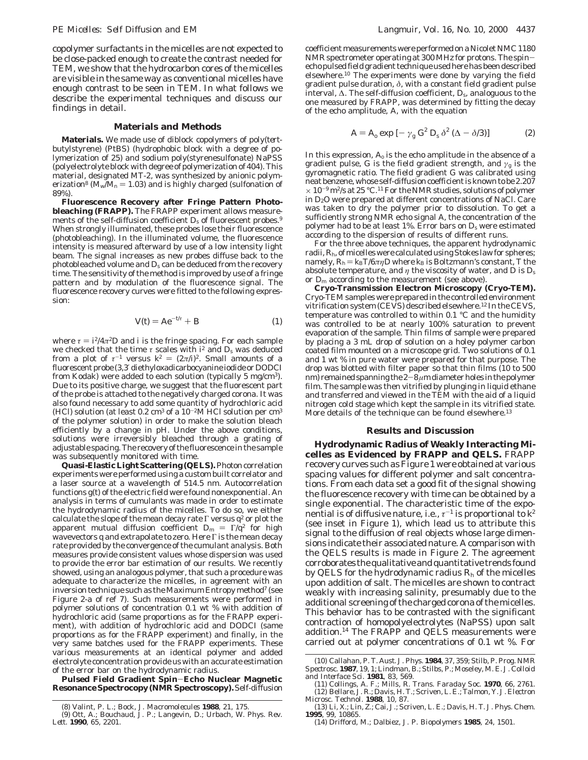copolymer surfactants in the micelles are not expected to be close-packed enough to create the contrast needed for TEM, we show that the hydrocarbon cores of the micelles are visible in the same way as conventional micelles have enough contrast to be seen in TEM. In what follows we describe the experimental techniques and discuss our findings in detail.

#### **Materials and Methods**

**Materials.** We made use of diblock copolymers of poly(*tert*butylstyrene) (PtBS) (hydrophobic block with a degree of polymerization of 25) and sodium poly(styrenesulfonate) NaPSS (polyelectrolyte block with degree of polymerization of 404). This material, designated MT-2, was synthesized by anionic polymerization<sup>8</sup> ( $M_{\rm w}/M_{\rm n}$  = 1.03) and is highly charged (sulfonation of 89%).

**Fluorescence Recovery after Fringe Pattern Photobleaching (FRAPP).** The FRAPP experiment allows measurements of the self-diffusion coefficient  $D<sub>s</sub>$  of fluorescent probes.<sup>9</sup> When strongly illuminated, these probes lose their fluorescence (photobleaching). In the illuminated volume, the fluorescence intensity is measured afterward by use of a low intensity light beam. The signal increases as new probes diffuse back to the photobleached volume and  $D_s$  can be deduced from the recovery time. The sensitivity of the method is improved by use of a fringe pattern and by modulation of the fluorescence signal. The fluorescence recovery curves were fitted to the following expression:

$$
V(t) = Ae^{-t/\tau} + B \tag{1}
$$

where  $\tau = \frac{\hat{r}}{4\pi^2 D}$  and *i* is the fringe spacing. For each sample we checked that the time  $\tau$  scales with  $\hat{r}$  and  $D_s$  was deduced from a plot of  $\tau^{-1}$  versus  $k^2 = (2\pi/\eta^2)$ . Small amounts of a fluorescent probe (3,3′ diethyloxadicarbocyanine iodide or DODCI from Kodak) were added to each solution (typically 5 mg/cm<sup>3</sup>). Due to its positive charge, we suggest that the fluorescent part of the probe is attached to the negatively charged corona. It was also found necessary to add some quantity of hydrochloric acid (HCl) solution (at least  $0.2 \text{ cm}^3$  of a  $10^{-2} \text{M HCl}$  solution per  $\text{cm}^3$ of the polymer solution) in order to make the solution bleach efficiently by a change in pH. Under the above conditions, solutions were irreversibly bleached through a grating of adjustable spacing. The recovery of the fluorescence in the sample was subsequently monitored with time.

**Quasi-Elastic Light Scattering (QELS).**Photon correlation experiments were performed using a custom built correlator and a laser source at a wavelength of 514.5 nm. Autocorrelation functions *g*(*t*) of the electric field were found nonexponential. An analysis in terms of cumulants was made in order to estimate the hydrodynamic radius of the micelles. To do so, we either calculate the slope of the mean decay rate Γ versus *q*<sup>2</sup> or plot the apparent mutual diffusion coefficient  $D_m = \Gamma/q^2$  for high wavevectors *q* and extrapolate to zero. Here Γ is the mean decay rate provided by the convergence of the cumulant analysis. Both measures provide consistent values whose dispersion was used to provide the error bar estimation of our results. We recently showed, using an analogous polymer, that such a procedure was adequate to characterize the micelles, in agreement with an inversion technique such as the Maximum Entropy method<sup>7</sup> (see Figure 2-a of ref 7). Such measurements were performed in polymer solutions of concentration 0.1 wt % with addition of hydrochloric acid (same proportions as for the FRAPP experiment), with addition of hydrochloric acid and DODCI (same proportions as for the FRAPP experiment) and finally, in the very same batches used for the FRAPP experiments. These various measurements at an identical polymer and added electrolyte concentration provide us with an accurate estimation of the error bar on the hydrodynamic radius.

**Pulsed Field Gradient Spin**-**Echo Nuclear Magnetic Resonance Spectrocopy (NMR Spectroscopy).**Self-diffusion coefficient measurements were performed on a Nicolet NMC 1180 NMR spectrometer operating at 300 MHz for protons. The spinecho pulsed field gradient technique used here has been described elsewhere.10 The experiments were done by varying the field gradient pulse duration, *δ*, with a constant field gradient pulse interval, ∆. The self-diffusion coefficient, Ds, analoguous to the one measured by FRAPP, was determined by fitting the decay of the echo amplitude, A, with the equation

$$
A = A_0 \exp \left[ -\gamma_g G^2 D_s \delta^2 (\Delta - \delta/3) \right]
$$
 (2)

In this expression, *A*<sup>o</sup> is the echo amplitude in the absence of a gradient pulse, *G* is the field gradient strength, and *γ*<sup>g</sup> is the gyromagnetic ratio. The field gradient *G* was calibrated using neat benzene, whose self-diffusion coefficient is known to be 2.207  $\times$   $10^{-9}$  m²/s at 25 °C.  $^{11}$  For the NMR studies, solutions of polymer in D2O were prepared at different concentrations of NaCl. Care was taken to dry the polymer prior to dissolution. To get a sufficiently strong NMR echo signal *A*, the concentration of the polymer had to be at least 1%. Error bars on  $D<sub>s</sub>$  were estimated according to the dispersion of results of different runs.

For the three above techniques, the apparent hydrodynamic radii,  $R<sub>h</sub>$ , of micelles were calculated using Stokes law for spheres; namely,  $R_h = k_B T/6 \pi \eta D$  where  $k_B$  is Boltzmann's constant, *T* the absolute temperature, and *η* the viscosity of water, and *D* is *D*<sup>s</sup> or *D*<sup>m</sup> according to the measurement (see above).

**Cryo-Transmission Electron Microscopy (Cryo-TEM).** Cryo-TEM samples were prepared in the controlled environment vitrification system (CEVS) described elsewhere.12 In the CEVS, temperature was controlled to within 0.1 °C and the humidity was controlled to be at nearly 100% saturation to prevent evaporation of the sample. Thin films of sample were prepared by placing a 3 mL drop of solution on a holey polymer carbon coated film mounted on a microscope grid. Two solutions of 0.1 and 1 wt % in pure water were prepared for that purpose. The drop was blotted with filter paper so that thin films (10 to 500 nm) remained spanning the  $2-8\mu$ m diameter holes in the polymer film. The sample was then vitrified by plunging in liquid ethane and transferred and viewed in the TEM with the aid of a liquid nitrogen cold stage which kept the sample in its vitrified state. More details of the technique can be found elsewhere.<sup>13</sup>

#### **Results and Discussion**

**Hydrodynamic Radius of Weakly Interacting Micelles as Evidenced by FRAPP and QELS.** FRAPP recovery curves such as Figure 1 were obtained at various spacing values for different polymer and salt concentrations. From each data set a good fit of the signal showing the fluorescence recovery with time can be obtained by a single exponential. The characteristic time of the exponential is of diffusive nature, i.e.,  $\tau^{-1}$  is proportional to  $k^2$ (see inset in Figure 1), which lead us to attribute this signal to the diffusion of real objects whose large dimensions indicate their associated nature. A comparison with the QELS results is made in Figure 2. The agreement corroborates the qualitative and quantitative trends found by QELS for the hydrodynamic radius *R*<sup>h</sup> of the micelles upon addition of salt. The micelles are shown to contract weakly with increasing salinity, presumably due to the additional screening of the charged corona of the micelles. This behavior has to be contrasted with the significant contraction of homopolyelectrolytes (NaPSS) upon salt addition.14 The FRAPP and QELS measurements were carried out at polymer concentrations of 0.1 wt %. For

<sup>(8)</sup> Valint, P. L.; Bock, J. *Macromolecules* **1988**, *21*, 175.

<sup>(9)</sup> Ott, A.; Bouchaud, J. P.; Langevin, D.; Urbach, W. *Phys. Rev. Lett*. **1990**, *65*, 2201.

<sup>(10)</sup> Callahan, P. T. *Aust. J. Phys*. **1984**, *37*, 359; Stilb*,* P. *Prog. NMR Spectrosc*. **1987**, *19*, 1; Lindman, B.; Stilbs, P.; Moseley*,* M. E. *J. Colloid and Interface Sci*. **1981**, *83*, 569.

<sup>(11)</sup> Collings, A. F.; Mills, R. *Trans. Faraday Soc*. **1970**, *66*, 2761. (12) Bellare, J. R.; Davis, H. T.; Scriven, L. E.; Talmon, Y. *J. Electron Microsc. Technol*. **1988**, *10*, 87.

<sup>(13)</sup> Li, X.; Lin, Z.; Cai, J.; Scriven, L. E.; Davis, H. T. *J. Phys. Chem*. **1995**, *99*, 10865.

<sup>(14)</sup> Drifford, M.; Dalbiez, J. P. *Biopolymers* **1985**, *24*, 1501.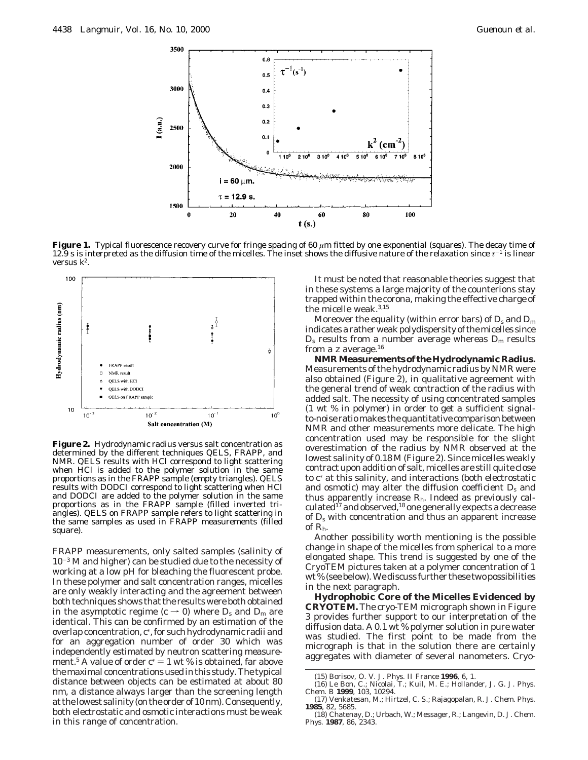

**Figure 1.** Typical fluorescence recovery curve for fringe spacing of 60  $\mu$ m fitted by one exponential (squares). The decay time of 12.9 s is interpreted as the diffusion time of the micelles. The inset shows the diffusive nature of the relaxation since  $\tau^{-1}$  is linear versus *k*2.



**Figure 2.** Hydrodynamic radius versus salt concentration as determined by the different techniques QELS, FRAPP, and NMR. QELS results with HCl correspond to light scattering when HCl is added to the polymer solution in the same proportions as in the FRAPP sample (empty triangles). QELS results with DODCI correspond to light scattering when HCl and DODCI are added to the polymer solution in the same proportions as in the FRAPP sample (filled inverted triangles). QELS on FRAPP sample refers to light scattering in the same samples as used in FRAPP measurements (filled square).

FRAPP measurements, only salted samples (salinity of  $10^{-3}$  M and higher) can be studied due to the necessity of working at a low pH for bleaching the fluorescent probe. In these polymer and salt concentration ranges, micelles are only weakly interacting and the agreement between both techniques shows that the results were both obtained in the asymptotic regime ( $c \rightarrow 0$ ) where  $D_s$  and  $D_m$  are identical. This can be confirmed by an estimation of the overlap concentration,  $c^*$ , for such hydrodynamic radii and for an aggregation number of order 30 which was independently estimated by neutron scattering measurement.<sup>5</sup> A value of order  $c^* = 1$  wt % is obtained, far above the maximal concentrations used in this study. The typical distance between objects can be estimated at about 80 nm, a distance always larger than the screening length at the lowest salinity (on the order of 10 nm). Consequently, both electrostatic and osmotic interactions must be weak in this range of concentration.

It must be noted that reasonable theories suggest that in these systems a large majority of the counterions stay trapped within the corona, making the effective charge of the micelle weak.3,15

Moreover the equality (within error bars) of  $D_s$  and  $D_m$ indicates a rather weak polydispersity of the micelles since  $D_s$  results from a number average whereas  $D_m$  results from a *z* average.<sup>16</sup>

**NMRMeasurementsoftheHydrodynamicRadius.** Measurements of the hydrodynamic radius by NMR were also obtained (Figure 2), in qualitative agreement with the general trend of weak contraction of the radius with added salt. The necessity of using concentrated samples (1 wt % in polymer) in order to get a sufficient signalto-noise ratio makes the quantitative comparison between NMR and other measurements more delicate. The high concentration used may be responsible for the slight overestimation of the radius by NMR observed at the lowest salinity of 0.18 M (Figure 2). Since micelles weakly contract upon addition of salt, micelles are still quite close to  $c^*$  at this salinity, and interactions (both electrostatic and osmotic) may alter the diffusion coefficient *D*<sup>s</sup> and thus apparently increase *R*h. Indeed as previously calculated<sup>17</sup> and observed,<sup>18</sup> one generally expects a decrease of *D*<sup>s</sup> with concentration and thus an apparent increase of  $R_h$ .

Another possibility worth mentioning is the possible change in shape of the micelles from spherical to a more elongated shape. This trend is suggested by one of the CryoTEM pictures taken at a polymer concentration of 1 wt % (see below). We discuss further these two possibilities in the next paragraph.

**Hydrophobic Core of the Micelles Evidenced by CRYOTEM.** The cryo-TEM micrograph shown in Figure 3 provides further support to our interpretation of the diffusion data. A 0.1 wt % polymer solution in pure water was studied. The first point to be made from the micrograph is that in the solution there are certainly aggregates with diameter of several nanometers. Cryo-

<sup>(15)</sup> Borisov, O. V. *J. Phys. II France* **1996**, *6*, 1.

<sup>(16)</sup> Le Bon, C.; Nicolai, T.; Kuil, M. E.; Hollander, J. G. *J. Phys. Chem. B* **1999**, *103*, 10294.

<sup>(17)</sup> Venkatesan, M.; Hirtzel, C. S.; Rajagopalan, R. *J. Chem. Phys*. **1985**, *82*, 5685.

<sup>(18)</sup> Chatenay, D.; Urbach, W.; Messager, R.; Langevin, D. *J. Chem. Phys*. **1987**, *86*, 2343.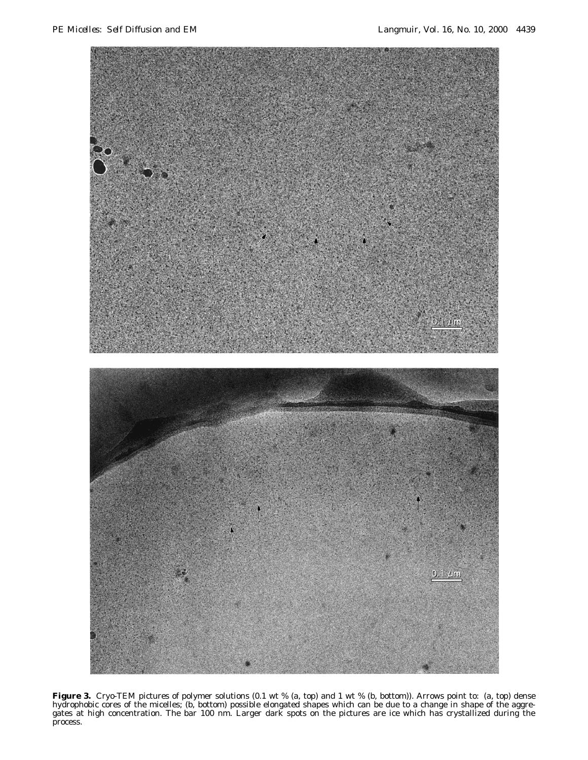

**Figure 3.** Cryo-TEM pictures of polymer solutions (0.1 wt % (a, top) and 1 wt % (b, bottom)). Arrows point to: (a, top) dense hydrophobic cores of the micelles; (b, bottom) possible elongated shapes which can be due to a change in shape of the aggregates at high concentration. The bar 100 nm. Larger dark spots on the pictures are ice which has crystallized during the process.